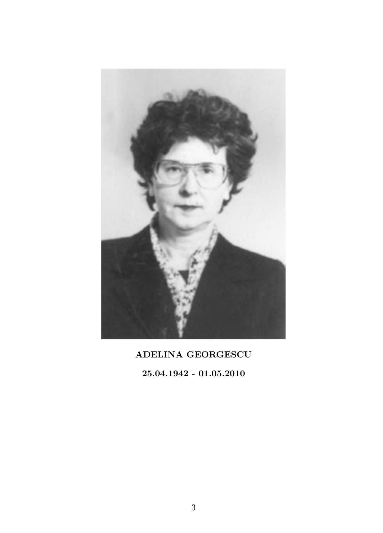

# ADELINA GEORGESCU

25.04.1942 - 01.05.2010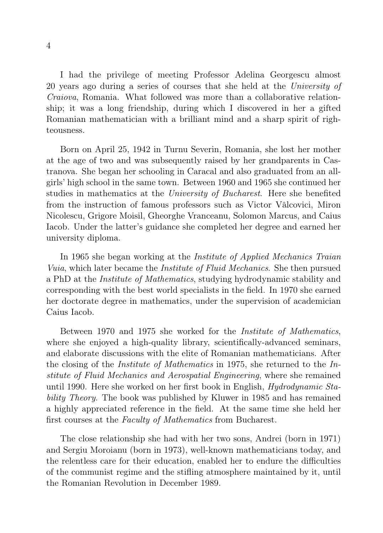I had the privilege of meeting Professor Adelina Georgescu almost 20 years ago during a series of courses that she held at the University of Craiova, Romania. What followed was more than a collaborative relationship; it was a long friendship, during which I discovered in her a gifted Romanian mathematician with a brilliant mind and a sharp spirit of righteousness.

Born on April 25, 1942 in Turnu Severin, Romania, she lost her mother at the age of two and was subsequently raised by her grandparents in Castranova. She began her schooling in Caracal and also graduated from an allgirls' high school in the same town. Between 1960 and 1965 she continued her studies in mathematics at the University of Bucharest. Here she benefited from the instruction of famous professors such as Victor Vâlcovici, Miron Nicolescu, Grigore Moisil, Gheorghe Vranceanu, Solomon Marcus, and Caius Iacob. Under the latter's guidance she completed her degree and earned her university diploma.

In 1965 she began working at the *Institute of Applied Mechanics Traian* Vuia, which later became the Institute of Fluid Mechanics. She then pursued a PhD at the Institute of Mathematics, studying hydrodynamic stability and corresponding with the best world specialists in the field. In 1970 she earned her doctorate degree in mathematics, under the supervision of academician Caius Iacob.

Between 1970 and 1975 she worked for the Institute of Mathematics, where she enjoyed a high-quality library, scientifically-advanced seminars, and elaborate discussions with the elite of Romanian mathematicians. After the closing of the Institute of Mathematics in 1975, she returned to the Institute of Fluid Mechanics and Aerospatial Engineering, where she remained until 1990. Here she worked on her first book in English, Hydrodynamic Stability Theory. The book was published by Kluwer in 1985 and has remained a highly appreciated reference in the field. At the same time she held her first courses at the Faculty of Mathematics from Bucharest.

The close relationship she had with her two sons, Andrei (born in 1971) and Sergiu Moroianu (born in 1973), well-known mathematicians today, and the relentless care for their education, enabled her to endure the difficulties of the communist regime and the stifling atmosphere maintained by it, until the Romanian Revolution in December 1989.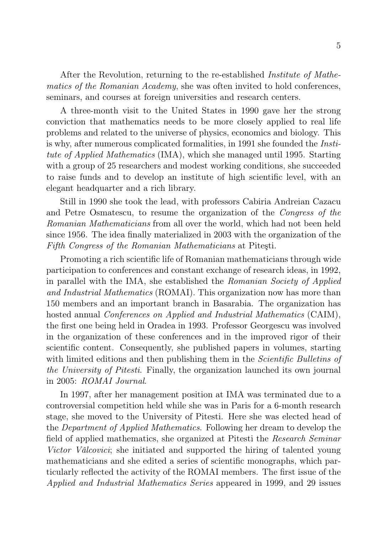After the Revolution, returning to the re-established Institute of Mathematics of the Romanian Academy, she was often invited to hold conferences, seminars, and courses at foreign universities and research centers.

A three-month visit to the United States in 1990 gave her the strong conviction that mathematics needs to be more closely applied to real life problems and related to the universe of physics, economics and biology. This is why, after numerous complicated formalities, in 1991 she founded the Institute of Applied Mathematics (IMA), which she managed until 1995. Starting with a group of 25 researchers and modest working conditions, she succeeded to raise funds and to develop an institute of high scientific level, with an elegant headquarter and a rich library.

Still in 1990 she took the lead, with professors Cabiria Andreian Cazacu and Petre Osmatescu, to resume the organization of the Congress of the Romanian Mathematicians from all over the world, which had not been held since 1956. The idea finally materialized in 2003 with the organization of the Fifth Congress of the Romanian Mathematicians at Piteşti.

Promoting a rich scientific life of Romanian mathematicians through wide participation to conferences and constant exchange of research ideas, in 1992, in parallel with the IMA, she established the Romanian Society of Applied and Industrial Mathematics (ROMAI). This organization now has more than 150 members and an important branch in Basarabia. The organization has hosted annual Conferences on Applied and Industrial Mathematics (CAIM), the first one being held in Oradea in 1993. Professor Georgescu was involved in the organization of these conferences and in the improved rigor of their scientific content. Consequently, she published papers in volumes, starting with limited editions and then publishing them in the *Scientific Bulletins of* the University of Pitesti. Finally, the organization launched its own journal in 2005: ROMAI Journal.

In 1997, after her management position at IMA was terminated due to a controversial competition held while she was in Paris for a 6-month research stage, she moved to the University of Pitesti. Here she was elected head of the Department of Applied Mathematics. Following her dream to develop the field of applied mathematics, she organized at Pitesti the Research Seminar Victor Vâlcovici; she initiated and supported the hiring of talented young mathematicians and she edited a series of scientific monographs, which particularly reflected the activity of the ROMAI members. The first issue of the Applied and Industrial Mathematics Series appeared in 1999, and 29 issues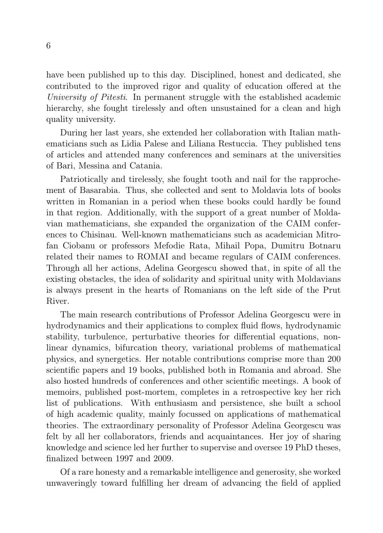have been published up to this day. Disciplined, honest and dedicated, she contributed to the improved rigor and quality of education offered at the University of Pitesti. In permanent struggle with the established academic hierarchy, she fought tirelessly and often unsustained for a clean and high quality university.

During her last years, she extended her collaboration with Italian mathematicians such as Lidia Palese and Liliana Restuccia. They published tens of articles and attended many conferences and seminars at the universities of Bari, Messina and Catania.

Patriotically and tirelessly, she fought tooth and nail for the rapprochement of Basarabia. Thus, she collected and sent to Moldavia lots of books written in Romanian in a period when these books could hardly be found in that region. Additionally, with the support of a great number of Moldavian mathematicians, she expanded the organization of the CAIM conferences to Chisinau. Well-known mathematicians such as academician Mitrofan Ciobanu or professors Mefodie Rata, Mihail Popa, Dumitru Botnaru related their names to ROMAI and became regulars of CAIM conferences. Through all her actions, Adelina Georgescu showed that, in spite of all the existing obstacles, the idea of solidarity and spiritual unity with Moldavians is always present in the hearts of Romanians on the left side of the Prut River.

The main research contributions of Professor Adelina Georgescu were in hydrodynamics and their applications to complex fluid flows, hydrodynamic stability, turbulence, perturbative theories for differential equations, nonlinear dynamics, bifurcation theory, variational problems of mathematical physics, and synergetics. Her notable contributions comprise more than 200 scientific papers and 19 books, published both in Romania and abroad. She also hosted hundreds of conferences and other scientific meetings. A book of memoirs, published post-mortem, completes in a retrospective key her rich list of publications. With enthusiasm and persistence, she built a school of high academic quality, mainly focussed on applications of mathematical theories. The extraordinary personality of Professor Adelina Georgescu was felt by all her collaborators, friends and acquaintances. Her joy of sharing knowledge and science led her further to supervise and oversee 19 PhD theses, finalized between 1997 and 2009.

Of a rare honesty and a remarkable intelligence and generosity, she worked unwaveringly toward fulfilling her dream of advancing the field of applied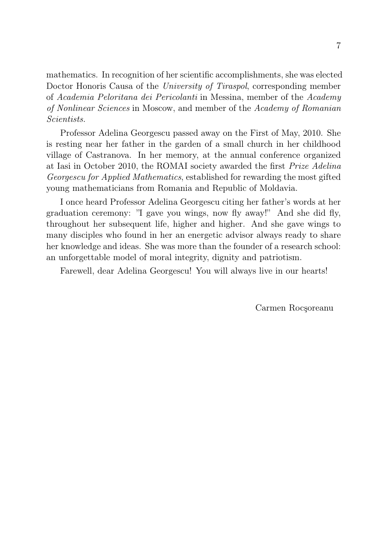mathematics. In recognition of her scientific accomplishments, she was elected Doctor Honoris Causa of the University of Tiraspol, corresponding member of Academia Peloritana dei Pericolanti in Messina, member of the Academy of Nonlinear Sciences in Moscow, and member of the Academy of Romanian Scientists.

Professor Adelina Georgescu passed away on the First of May, 2010. She is resting near her father in the garden of a small church in her childhood village of Castranova. In her memory, at the annual conference organized at Iasi in October 2010, the ROMAI society awarded the first Prize Adelina Georgescu for Applied Mathematics, established for rewarding the most gifted young mathematicians from Romania and Republic of Moldavia.

I once heard Professor Adelina Georgescu citing her father's words at her graduation ceremony: "I gave you wings, now fly away!" And she did fly, throughout her subsequent life, higher and higher. And she gave wings to many disciples who found in her an energetic advisor always ready to share her knowledge and ideas. She was more than the founder of a research school: an unforgettable model of moral integrity, dignity and patriotism.

Farewell, dear Adelina Georgescu! You will always live in our hearts!

Carmen Rocşoreanu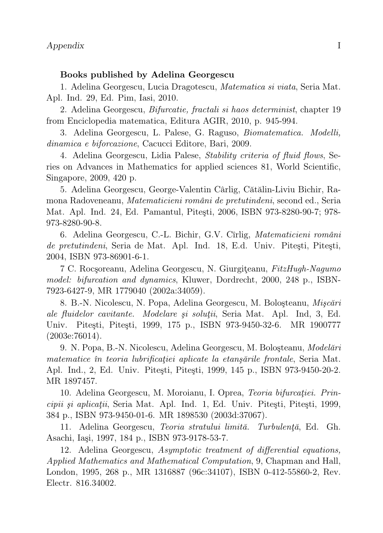#### Books published by Adelina Georgescu

1. Adelina Georgescu, Lucia Dragotescu, Matematica si viata, Seria Mat. Apl. Ind. 29, Ed. Pim, Iasi, 2010.

2. Adelina Georgescu, Bifurcatie, fractali si haos determinist, chapter 19 from Enciclopedia matematica, Editura AGIR, 2010, p. 945-994.

3. Adelina Georgescu, L. Palese, G. Raguso, Biomatematica. Modelli, dinamica e biforcazione, Cacucci Editore, Bari, 2009.

4. Adelina Georgescu, Lidia Palese, Stability criteria of fluid flows, Series on Advances in Mathematics for applied sciences 81, World Scientific, Singapore, 2009, 420 p.

5. Adelina Georgescu, George-Valentin Cârlig, Cătălin-Liviu Bichir, Ramona Radoveneanu, Matematicieni români de pretutindeni, second ed., Seria Mat. Apl. Ind. 24, Ed. Pamantul, Piteşti, 2006, ISBN 973-8280-90-7; 978- 973-8280-90-8.

6. Adelina Georgescu, C.-L. Bichir, G.V. Cîrlig, Matematicieni români de pretutindeni, Seria de Mat. Apl. Ind. 18, E.d. Univ. Piteşti, Piteşti, 2004, ISBN 973-86901-6-1.

7 C. Rocşoreanu, Adelina Georgescu, N. Giurgiţeanu, FitzHugh-Nagumo model: bifurcation and dynamics, Kluwer, Dordrecht, 2000, 248 p., ISBN-7923-6427-9, MR 1779040 (2002a:34059).

8. B.-N. Nicolescu, N. Popa, Adelina Georgescu, M. Boloşteanu, Mişcări ale fluidelor cavitante. Modelare şi soluţii, Seria Mat. Apl. Ind, 3, Ed. Univ. Piteşti, Piteşti, 1999, 175 p., ISBN 973-9450-32-6. MR 1900777 (2003e:76014).

9. N. Popa, B.-N. Nicolescu, Adelina Georgescu, M. Boloşteanu, Modelări matematice în teoria lubrificaţiei aplicate la etanşările frontale, Seria Mat. Apl. Ind., 2, Ed. Univ. Piteşti, Piteşti, 1999, 145 p., ISBN 973-9450-20-2. MR 1897457.

10. Adelina Georgescu, M. Moroianu, I. Oprea, Teoria bifurcaţiei. Principii şi aplicaţii, Seria Mat. Apl. Ind. 1, Ed. Univ. Piteşti, Piteşti, 1999, 384 p., ISBN 973-9450-01-6. MR 1898530 (2003d:37067).

11. Adelina Georgescu, Teoria stratului limită. Turbulenţă, Ed. Gh. Asachi, Iaşi, 1997, 184 p., ISBN 973-9178-53-7.

12. Adelina Georgescu, Asymptotic treatment of differential equations, Applied Mathematics and Mathematical Computation, 9, Chapman and Hall, London, 1995, 268 p., MR 1316887 (96c:34107), ISBN 0-412-55860-2, Rev. Electr. 816.34002.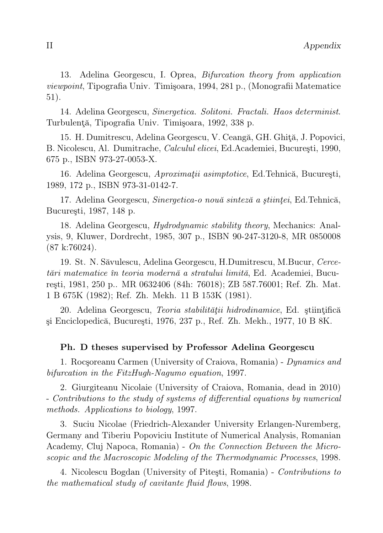13. Adelina Georgescu, I. Oprea, Bifurcation theory from application viewpoint, Tipografia Univ. Timişoara, 1994, 281 p., (Monografii Matematice 51).

14. Adelina Georgescu, Sinergetica. Solitoni. Fractali. Haos determinist. Turbulenţă, Tipografia Univ. Timişoara, 1992, 338 p.

15. H. Dumitrescu, Adelina Georgescu, V. Ceangă, GH. Ghiţă, J. Popovici, B. Nicolescu, Al. Dumitrache, Calculul elicei, Ed.Academiei, Bucureşti, 1990, 675 p., ISBN 973-27-0053-X.

16. Adelina Georgescu, Aproximatii asimptotice, Ed.Tehnică, București, 1989, 172 p., ISBN 973-31-0142-7.

17. Adelina Georgescu, Sinergetica-o nouă sinteză a științei, Ed.Tehnică, Bucureşti, 1987, 148 p.

18. Adelina Georgescu, Hydrodynamic stability theory, Mechanics: Analysis, 9, Kluwer, Dordrecht, 1985, 307 p., ISBN 90-247-3120-8, MR 0850008 (87 k:76024).

19. St. N. Săvulescu, Adelina Georgescu, H.Dumitrescu, M.Bucur, Cercetări matematice în teoria modernă a stratului limită, Ed. Academiei, Bucureşti, 1981, 250 p.. MR 0632406 (84h: 76018); ZB 587.76001; Ref. Zh. Mat. 1 B 675K (1982); Ref. Zh. Mekh. 11 B 153K (1981).

20. Adelina Georgescu, Teoria stabilității hidrodinamice, Ed. științifică şi Enciclopedică, Bucureşti, 1976, 237 p., Ref. Zh. Mekh., 1977, 10 B 8K.

# Ph. D theses supervised by Professor Adelina Georgescu

1. Rocşoreanu Carmen (University of Craiova, Romania) - Dynamics and bifurcation in the FitzHugh-Nagumo equation, 1997.

2. Giurgiteanu Nicolaie (University of Craiova, Romania, dead in 2010) - Contributions to the study of systems of differential equations by numerical methods. Applications to biology, 1997.

3. Suciu Nicolae (Friedrich-Alexander University Erlangen-Nuremberg, Germany and Tiberiu Popoviciu Institute of Numerical Analysis, Romanian Academy, Cluj Napoca, Romania) - On the Connection Between the Microscopic and the Macroscopic Modeling of the Thermodynamic Processes, 1998.

4. Nicolescu Bogdan (University of Piteşti, Romania) - Contributions to the mathematical study of cavitante fluid flows, 1998.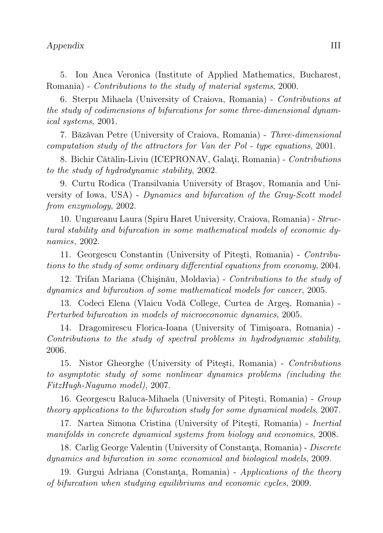5. Ion Anca Veronica (Institute of Applied Mathematics, Bucharest, Romania) - Contributions to the study of material systems, 2000.

6. Sterpu Mihaela (University of Craiova, Romania) - Contributions at the study of codimensions of bifurcations for some three-dimensional dynamical systems, 2001.

7. Băzăvan Petre (University of Craiova, Romania) - Three-dimensional computation study of the attractors for Van der Pol - type equations, 2001.

8. Bichir Cătălin-Liviu (ICEPRONAV, Galaţi, Romania) - Contributions to the study of hydrodynamic stability, 2002.

9. Curtu Rodica (Transilvania University of Braşov, Romania and University of Iowa, USA) - Dynamics and bifurcation of the Gray-Scott model from enzymology, 2002.

10. Ungureanu Laura (Spiru Haret University, Craiova, Romania) - Structural stability and bifurcation in some mathematical models of economic dynamics, 2002.

11. Georgescu Constantin (University of Piteşti, Romania) - Contributions to the study of some ordinary differential equations from economy, 2004.

12. Trifan Mariana (Chişinău, Moldavia) - Contributions to the study of dynamics and bifurcation of some mathematical models for cancer, 2005.

13. Codeci Elena (Vlaicu Vodă College, Curtea de Argeş, Romania) - Perturbed bifurcation in models of microeconomic dynamics, 2005.

14. Dragomirescu Florica-Ioana (University of Timişoara, Romania) - Contributions to the study of spectral problems in hydrodynamic stability, 2006.

15. Nistor Gheorghe (University of Piteşti, Romania) - Contributions to asymptotic study of some nonlinear dynamics problems (including the FitzHugh-Nagumo model), 2007.

16. Georgescu Raluca-Mihaela (University of Piteşti, Romania) - Group theory applications to the bifurcation study for some dynamical models, 2007.

17. Nartea Simona Cristina (University of Piteşti, Romania) - Inertial manifolds in concrete dynamical systems from biology and economics, 2008.

18. Carlig George Valentin (University of Constanta, Romania) - Discrete dynamics and bifurcation in some economical and biological models, 2009.

19. Gurgui Adriana (Constanţa, Romania) - Applications of the theory of bifurcation when studying equilibriums and economic cycles, 2009.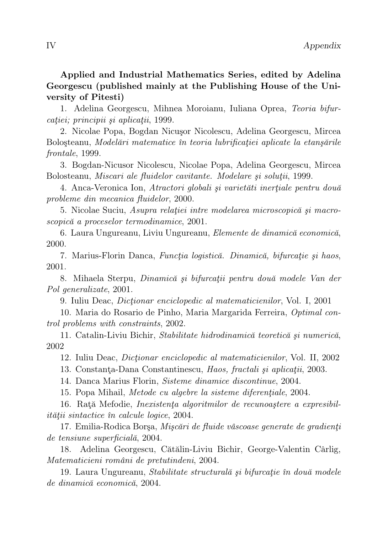# Applied and Industrial Mathematics Series, edited by Adelina Georgescu (published mainly at the Publishing House of the University of Pitesti)

1. Adelina Georgescu, Mihnea Moroianu, Iuliana Oprea, Teoria bifurcatiei; principii și aplicații, 1999.

2. Nicolae Popa, Bogdan Nicuşor Nicolescu, Adelina Georgescu, Mircea Boloșteanu, Modelări matematice în teoria lubrificației aplicate la etanșările frontale, 1999.

3. Bogdan-Nicusor Nicolescu, Nicolae Popa, Adelina Georgescu, Mircea Bolosteanu, Miscari ale fluidelor cavitante. Modelare şi soluţii, 1999.

4. Anca-Veronica Ion, Atractori globali și varietăti inerțiale pentru două probleme din mecanica fluidelor, 2000.

5. Nicolae Suciu, Asupra relatiei intre modelarea microscopică și macroscopică a proceselor termodinamice, 2001.

6. Laura Ungureanu, Liviu Ungureanu, Elemente de dinamică economică, 2000.

7. Marius-Florin Danca, Funcția logistică. Dinamică, bifurcație și haos, 2001.

8. Mihaela Sterpu, Dinamică şi bifurcaţii pentru două modele Van der Pol generalizate, 2001.

9. Iuliu Deac, Dicţionar enciclopedic al matematicienilor, Vol. I, 2001

10. Maria do Rosario de Pinho, Maria Margarida Ferreira, Optimal control problems with constraints, 2002.

11. Catalin-Liviu Bichir, Stabilitate hidrodinamică teoretică şi numerică, 2002

12. Iuliu Deac, Dicţionar enciclopedic al matematicienilor, Vol. II, 2002

13. Constanţa-Dana Constantinescu, Haos, fractali şi aplicaţii, 2003.

14. Danca Marius Florin, Sisteme dinamice discontinue, 2004.

15. Popa Mihail, *Metode cu algebre la sisteme diferentiale*, 2004.

16. Rată Mefodie, *Inexistența algoritmilor de recunoastere a expresibil*ităţii sintactice în calcule logice, 2004.

17. Emilia-Rodica Borsa, Miscări de fluide vâscoase generate de gradienți de tensiune superficială, 2004.

18. Adelina Georgescu, Cătălin-Liviu Bichir, George-Valentin Cârlig, Matematicieni români de pretutindeni, 2004.

19. Laura Ungureanu, Stabilitate structurală și bifurcație în două modele de dinamică economică, 2004.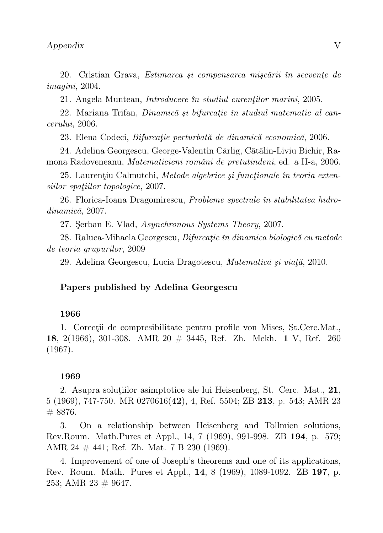20. Cristian Grava, Estimarea şi compensarea mişcării în secvenţe de imagini, 2004.

21. Angela Muntean, *Introducere în studiul curentilor marini*, 2005.

22. Mariana Trifan, Dinamică și bifurcație în studiul matematic al cancerului, 2006.

23. Elena Codeci, Bifurcaţie perturbată de dinamică economică, 2006.

24. Adelina Georgescu, George-Valentin Cârlig, Cătălin-Liviu Bichir, Ramona Radoveneanu, Matematicieni români de pretutindeni, ed. a II-a, 2006.

25. Laurențiu Calmutchi, Metode algebrice și funcționale în teoria extensiilor spatiilor topologice, 2007.

26. Florica-Ioana Dragomirescu, Probleme spectrale în stabilitatea hidrodinamică, 2007.

27. Şerban E. Vlad, Asynchronous Systems Theory, 2007.

28. Raluca-Mihaela Georgescu, Bifurcație în dinamica biologică cu metode de teoria grupurilor, 2009

29. Adelina Georgescu, Lucia Dragotescu, Matematică şi viaţă, 2010.

#### Papers published by Adelina Georgescu

#### 1966

1. Corectii de compresibilitate pentru profile von Mises, St.Cerc.Mat., 18, 2(1966), 301-308. AMR 20 # 3445, Ref. Zh. Mekh. 1 V, Ref. 260 (1967).

#### 1969

2. Asupra soluţiilor asimptotice ale lui Heisenberg, St. Cerc. Mat., 21, 5 (1969), 747-750. MR 0270616(42), 4, Ref. 5504; ZB 213, p. 543; AMR 23  $# 8876.$ 

3. On a relationship between Heisenberg and Tollmien solutions, Rev.Roum. Math.Pures et Appl., 14, 7 (1969), 991-998. ZB 194, p. 579; AMR 24  $\#$  441; Ref. Zh. Mat. 7 B 230 (1969).

4. Improvement of one of Joseph's theorems and one of its applications, Rev. Roum. Math. Pures et Appl., 14, 8 (1969), 1089-1092. ZB 197, p. 253; AMR 23  $\#$  9647.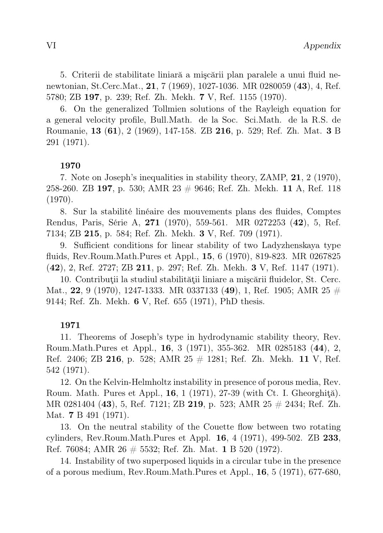5. Criterii de stabilitate liniară a mişcării plan paralele a unui fluid nenewtonian, St.Cerc.Mat., 21, 7 (1969), 1027-1036. MR 0280059 (43), 4, Ref. 5780; ZB 197, p. 239; Ref. Zh. Mekh. 7 V, Ref. 1155 (1970).

6. On the generalized Tollmien solutions of the Rayleigh equation for a general velocity profile, Bull.Math. de la Soc. Sci.Math. de la R.S. de Roumanie, 13 (61), 2 (1969), 147-158. ZB 216, p. 529; Ref. Zh. Mat. 3 B 291 (1971).

# 1970

7. Note on Joseph's inequalities in stability theory, ZAMP, 21, 2 (1970), 258-260. ZB 197, p. 530; AMR 23  $\#$  9646; Ref. Zh. Mekh. 11 A, Ref. 118 (1970).

8. Sur la stabilité linéaire des mouvements plans des fluides, Comptes Rendus, Paris, Série A, 271 (1970), 559-561. MR 0272253 (42), 5, Ref. 7134; ZB 215, p. 584; Ref. Zh. Mekh. 3 V, Ref. 709 (1971).

9. Sufficient conditions for linear stability of two Ladyzhenskaya type fluids, Rev.Roum.Math.Pures et Appl., 15, 6 (1970), 819-823. MR 0267825 (42), 2, Ref. 2727; ZB 211, p. 297; Ref. Zh. Mekh. 3 V, Ref. 1147 (1971).

10. Contribuţii la studiul stabilităţii liniare a mişcării fluidelor, St. Cerc. Mat., 22, 9 (1970), 1247-1333. MR 0337133 (49), 1, Ref. 1905; AMR 25  $\#$ 9144; Ref. Zh. Mekh. 6 V, Ref. 655 (1971), PhD thesis.

# 1971

11. Theorems of Joseph's type in hydrodynamic stability theory, Rev. Roum.Math.Pures et Appl., 16, 3 (1971), 355-362. MR 0285183 (44), 2, Ref. 2406; ZB 216, p. 528; AMR 25  $\#$  1281; Ref. Zh. Mekh. 11 V, Ref. 542 (1971).

12. On the Kelvin-Helmholtz instability in presence of porous media, Rev. Roum. Math. Pures et Appl.,  $16, 1$  (1971), 27-39 (with Ct. I. Gheorghită). MR 0281404 (43), 5, Ref. 7121; ZB 219, p. 523; AMR 25 # 2434; Ref. Zh. Mat. 7 B 491 (1971).

13. On the neutral stability of the Couette flow between two rotating cylinders, Rev.Roum.Math.Pures et Appl. 16, 4 (1971), 499-502. ZB 233, Ref. 76084; AMR 26 # 5532; Ref. Zh. Mat. 1 B 520 (1972).

14. Instability of two superposed liquids in a circular tube in the presence of a porous medium, Rev.Roum.Math.Pures et Appl., 16, 5 (1971), 677-680,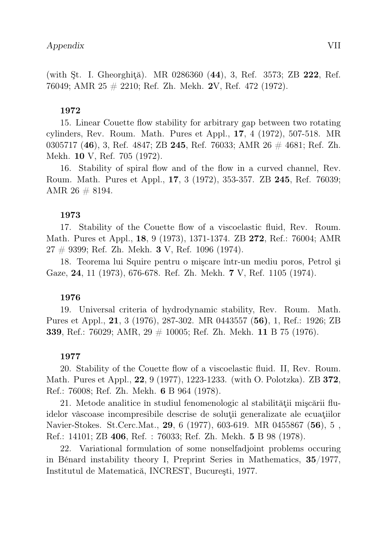(with St. I. Gheorghită). MR 0286360 (44), 3, Ref. 3573; ZB 222, Ref. 76049; AMR 25 # 2210; Ref. Zh. Mekh. 2V, Ref. 472 (1972).

### 1972

15. Linear Couette flow stability for arbitrary gap between two rotating cylinders, Rev. Roum. Math. Pures et Appl., 17, 4 (1972), 507-518. MR 0305717 (46), 3, Ref. 4847; ZB 245, Ref. 76033; AMR  $26 \# 4681$ ; Ref. Zh. Mekh. 10 V, Ref. 705 (1972).

16. Stability of spiral flow and of the flow in a curved channel, Rev. Roum. Math. Pures et Appl., 17, 3 (1972), 353-357. ZB 245, Ref. 76039; AMR 26 # 8194.

#### 1973

17. Stability of the Couette flow of a viscoelastic fluid, Rev. Roum. Math. Pures et Appl., 18, 9 (1973), 1371-1374. ZB 272, Ref.: 76004; AMR  $27 \# 9399$ ; Ref. Zh. Mekh. 3 V, Ref. 1096 (1974).

18. Teorema lui Squire pentru o mişcare într-un mediu poros, Petrol şi Gaze, 24, 11 (1973), 676-678. Ref. Zh. Mekh. 7 V, Ref. 1105 (1974).

#### 1976

19. Universal criteria of hydrodynamic stability, Rev. Roum. Math. Pures et Appl., 21, 3 (1976), 287-302. MR 0443557 (56), 1, Ref.: 1926; ZB 339, Ref.: 76029; AMR, 29 # 10005; Ref. Zh. Mekh. 11 B 75 (1976).

#### 1977

20. Stability of the Couette flow of a viscoelastic fluid. II, Rev. Roum. Math. Pures et Appl., 22, 9 (1977), 1223-1233. (with O. Polotzka). ZB 372, Ref.: 76008; Ref. Zh. Mekh. 6 B 964 (1978).

21. Metode analitice în studiul fenomenologic al stabilităţii mişcării fluidelor vâscoase incompresibile descrise de soluţii generalizate ale ecuaţiilor Navier-Stokes. St.Cerc.Mat., 29, 6 (1977), 603-619. MR 0455867 (56), 5 , Ref.: 14101; ZB 406, Ref. : 76033; Ref. Zh. Mekh. 5 B 98 (1978).

22. Variational formulation of some nonselfadjoint problems occuring in Bénard instability theory I, Preprint Series in Mathematics, 35/1977, Institutul de Matematică, INCREST, Bucureşti, 1977.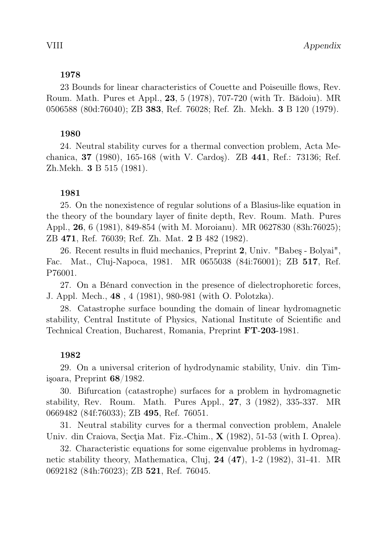23 Bounds for linear characteristics of Couette and Poiseuille flows, Rev. Roum. Math. Pures et Appl., 23, 5 (1978), 707-720 (with Tr. Bădoiu). MR 0506588 (80d:76040); ZB 383, Ref. 76028; Ref. Zh. Mekh. 3 B 120 (1979).

# 1980

24. Neutral stability curves for a thermal convection problem, Acta Mechanica, 37 (1980), 165-168 (with V. Cardoş). ZB 441, Ref.: 73136; Ref. Zh.Mekh. 3 B 515 (1981).

# 1981

25. On the nonexistence of regular solutions of a Blasius-like equation in the theory of the boundary layer of finite depth, Rev. Roum. Math. Pures Appl., 26, 6 (1981), 849-854 (with M. Moroianu). MR 0627830 (83h:76025); ZB 471, Ref. 76039; Ref. Zh. Mat. 2 B 482 (1982).

26. Recent results in fluid mechanics, Preprint 2, Univ. "Babeş - Bolyai", Fac. Mat., Cluj-Napoca, 1981. MR 0655038 (84i:76001); ZB 517, Ref. P76001.

27. On a Bénard convection in the presence of dielectrophoretic forces, J. Appl. Mech., 48 , 4 (1981), 980-981 (with O. Polotzka).

28. Catastrophe surface bounding the domain of linear hydromagnetic stability, Central Institute of Physics, National Institute of Scientific and Technical Creation, Bucharest, Romania, Preprint FT-203-1981.

# 1982

29. On a universal criterion of hydrodynamic stability, Univ. din Timişoara, Preprint 68/1982.

30. Bifurcation (catastrophe) surfaces for a problem in hydromagnetic stability, Rev. Roum. Math. Pures Appl., 27, 3 (1982), 335-337. MR 0669482 (84f:76033); ZB 495, Ref. 76051.

31. Neutral stability curves for a thermal convection problem, Analele Univ. din Craiova, Secția Mat. Fiz.-Chim., **X** (1982), 51-53 (with I. Oprea).

32. Characteristic equations for some eigenvalue problems in hydromagnetic stability theory, Mathematica, Cluj,  $24$   $(47)$ , 1-2  $(1982)$ , 31-41. MR 0692182 (84h:76023); ZB 521, Ref. 76045.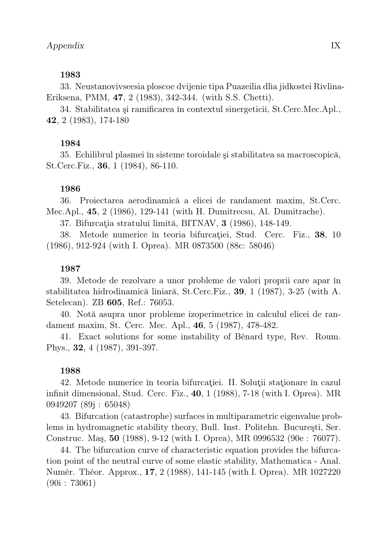33. Neustanovivseesia ploscoe dvijenie tipa Puazeilia dlia jidkostei Rivlina-Eriksena, PMM, 47, 2 (1983), 342-344. (with S.S. Chetti).

34. Stabilitatea şi ramificarea în contextul sinergeticii, St.Cerc.Mec.Apl., 42, 2 (1983), 174-180

# 1984

35. Echilibrul plasmei în sisteme toroidale şi stabilitatea sa macroscopică, St.Cerc.Fiz., 36, 1 (1984), 86-110.

# 1986

36. Proiectarea aerodinamică a elicei de randament maxim, St.Cerc. Mec.Apl., 45, 2 (1986), 129-141 (with H. Dumitrecsu, Al. Dumitrache).

37. Bifurcaţia stratului limită, BITNAV, 3 (1986), 148-149.

38. Metode numerice în teoria bifurcaţiei, Stud. Cerc. Fiz., 38, 10 (1986), 912-924 (with I. Oprea). MR 0873500 (88c: 58046)

# 1987

39. Metode de rezolvare a unor probleme de valori proprii care apar în stabilitatea hidrodinamică liniară, St.Cerc.Fiz., 39, 1 (1987), 3-25 (with A. Setelecan). ZB 605, Ref.: 76053.

40. Notă asupra unor probleme izoperimetrice în calculul elicei de randament maxim, St. Cerc. Mec. Apl., 46, 5 (1987), 478-482.

41. Exact solutions for some instability of Bénard type, Rev. Roum. Phys., 32, 4 (1987), 391-397.

#### 1988

42. Metode numerice în teoria bifurcaţiei. II. Soluţii staţionare în cazul infinit dimensional, Stud. Cerc. Fiz., 40, 1 (1988), 7-18 (with I. Oprea). MR 0949207 (89j : 65048)

43. Bifurcation (catastrophe) surfaces in multiparametric eigenvalue problems in hydromagnetic stability theory, Bull. Inst. Politehn. Bucureşti, Ser. Construc. Maş, 50 (1988), 9-12 (with I. Oprea), MR 0996532 (90e : 76077).

44. The bifurcation curve of characteristic equation provides the bifurcation point of the neutral curve of some elastic stability, Mathematica - Anal. Numér. Théor. Approx., 17, 2 (1988), 141-145 (with I. Oprea). MR 1027220 (90i : 73061)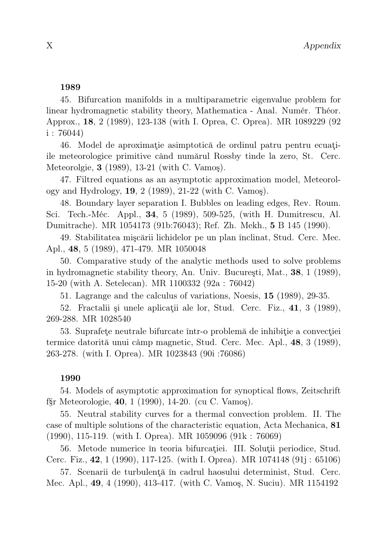45. Bifurcation manifolds in a multiparametric eigenvalue problem for linear hydromagnetic stability theory, Mathematica - Anal. Numér. Théor. Approx., 18, 2 (1989), 123-138 (with I. Oprea, C. Oprea). MR 1089229 (92  $i: 76044$ 

46. Model de aproximaţie asimptotică de ordinul patru pentru ecuaţiile meteorologice primitive când numărul Rossby tinde la zero, St. Cerc. Meteorolgie, 3 (1989), 13-21 (with C. Vamoş).

47. Filtred equations as an asymptotic approximation model, Meteorology and Hydrology, 19, 2 (1989), 21-22 (with C. Vamoş).

48. Boundary layer separation I. Bubbles on leading edges, Rev. Roum. Sci. Tech.-Méc. Appl., 34, 5 (1989), 509-525, (with H. Dumitrescu, Al. Dumitrache). MR 1054173 (91b:76043); Ref. Zh. Mekh., 5 B 145 (1990).

49. Stabilitatea mişcării lichidelor pe un plan înclinat, Stud. Cerc. Mec. Apl., 48, 5 (1989), 471-479. MR 1050048

50. Comparative study of the analytic methods used to solve problems in hydromagnetic stability theory, An. Univ. Bucureşti, Mat., 38, 1 (1989), 15-20 (with A. Setelecan). MR 1100332 (92a : 76042)

51. Lagrange and the calculus of variations, Noesis, 15 (1989), 29-35.

52. Fractalii și unele aplicații ale lor, Stud. Cerc. Fiz., 41, 3 (1989), 269-288. MR 1028540

53. Suprafeţe neutrale bifurcate într-o problemă de inhibiţie a convecţiei termice datorită unui câmp magnetic, Stud. Cerc. Mec. Apl., 48, 3 (1989), 263-278. (with I. Oprea). MR 1023843 (90i :76086)

# 1990

54. Models of asymptotic approximation for synoptical flows, Zeitschrift f§r Meteorologie, 40, 1 (1990), 14-20. (cu C. Vamoş).

55. Neutral stability curves for a thermal convection problem. II. The case of multiple solutions of the characteristic equation, Acta Mechanica, 81 (1990), 115-119. (with I. Oprea). MR 1059096 (91k : 76069)

56. Metode numerice în teoria bifurcaţiei. III. Soluţii periodice, Stud. Cerc. Fiz., 42, 1 (1990), 117-125. (with I. Oprea). MR 1074148 (91j : 65106)

57. Scenarii de turbulenţă în cadrul haosului determinist, Stud. Cerc. Mec. Apl., 49, 4 (1990), 413-417. (with C. Vamoş, N. Suciu). MR 1154192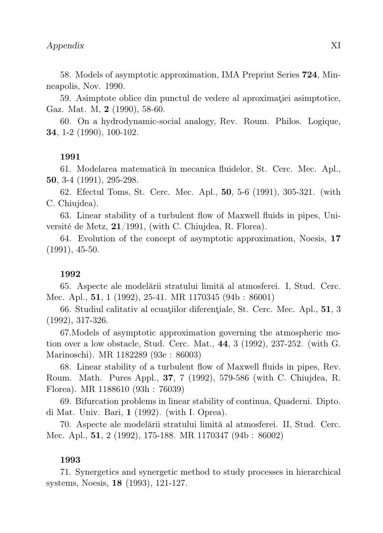58. Models of asymptotic approximation, IMA Preprint Series 724, Minneapolis, Nov. 1990.

59. Asimptote oblice din punctul de vedere al aproximatiei asimptotice, Gaz. Mat. M, 2 (1990), 58-60.

60. On a hydrodynamic-social analogy, Rev. Roum. Philos. Logique, 34, 1-2 (1990), 100-102.

#### 1991

61. Modelarea matematică în mecanica fluidelor, St. Cerc. Mec. Apl., 50, 3-4 (1991), 295-298.

62. Efectul Toms, St. Cerc. Mec. Apl., 50, 5-6 (1991), 305-321. (with C. Chiujdea).

63. Linear stability of a turbulent flow of Maxwell fluids in pipes, Université de Metz, 21/1991, (with C. Chiujdea, R. Florea).

64. Evolution of the concept of asymptotic approximation, Noesis, 17 (1991), 45-50.

#### 1992

65. Aspecte ale modelării stratului limită al atmosferei. I, Stud. Cerc. Mec. Apl., 51, 1 (1992), 25-41. MR 1170345 (94b : 86001)

66. Studiul calitativ al ecuaţiilor diferenţiale, St. Cerc. Mec. Apl., 51, 3 (1992), 317-326.

67.Models of asymptotic approximation governing the atmospheric motion over a low obstacle, Stud. Cerc. Mat., 44, 3 (1992), 237-252. (with G. Marinoschi). MR 1182289 (93e : 86003)

68. Linear stability of a turbulent flow of Maxwell fluids in pipes, Rev. Roum. Math. Pures Appl., 37, 7 (1992), 579-586 (with C. Chiujdea, R. Florea). MR 1188610 (93h : 76039)

69. Bifurcation problems in linear stability of continua, Quaderni. Dipto. di Mat. Univ. Bari, 1 (1992). (with I. Oprea).

70. Aspecte ale modelării stratului limită al atmosferei. II, Stud. Cerc. Mec. Apl., 51, 2 (1992), 175-188. MR 1170347 (94b : 86002)

# 1993

71. Synergetics and synergetic method to study processes in hierarchical systems, Noesis, 18 (1993), 121-127.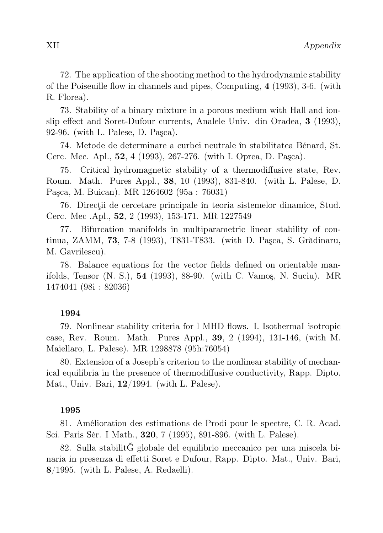72. The application of the shooting method to the hydrodynamic stability of the Poiseuille flow in channels and pipes, Computing, 4 (1993), 3-6. (with R. Florea).

73. Stability of a binary mixture in a porous medium with Hall and ionslip effect and Soret-Dufour currents, Analele Univ. din Oradea, 3 (1993), 92-96. (with L. Palese, D. Paşca).

74. Metode de determinare a curbei neutrale în stabilitatea Bénard, St. Cerc. Mec. Apl., 52, 4 (1993), 267-276. (with I. Oprea, D. Paşca).

75. Critical hydromagnetic stability of a thermodiffusive state, Rev. Roum. Math. Pures Appl., 38, 10 (1993), 831-840. (with L. Palese, D. Paşca, M. Buican). MR 1264602 (95a : 76031)

76. Direcţii de cercetare principale în teoria sistemelor dinamice, Stud. Cerc. Mec .Apl., 52, 2 (1993), 153-171. MR 1227549

77. Bifurcation manifolds in multiparametric linear stability of continua, ZAMM, 73, 7-8 (1993), T831-T833. (with D. Paşca, S. Grădinaru, M. Gavrilescu).

78. Balance equations for the vector fields defined on orientable manifolds, Tensor (N. S.), 54 (1993), 88-90. (with C. Vamoş, N. Suciu). MR 1474041 (98i : 82036)

# 1994

79. Nonlinear stability criteria for l MHD flows. I. IsothermaI isotropic case, Rev. Roum. Math. Pures Appl., 39, 2 (1994), 131-146, (with M. Maiellaro, L. Palese). MR 1298878 (95h:76054)

80. Extension of a Joseph's criterion to the nonlinear stability of mechanical equilibria in the presence of thermodiffusive conductivity, Rapp. Dipto. Mat., Univ. Bari, 12/1994. (with L. Palese).

# 1995

81. Amélioration des estimations de Prodi pour le spectre, C. R. Acad. Sci. Paris Sér. I Math., 320, 7 (1995), 891-896. (with L. Palese).

82. Sulla stabilitĞ globale del equilibrio meccanico per una miscela binaria in presenza di effetti Soret e Dufour, Rapp. Dipto. Mat., Univ. Bari, 8/1995. (with L. Palese, A. Redaelli).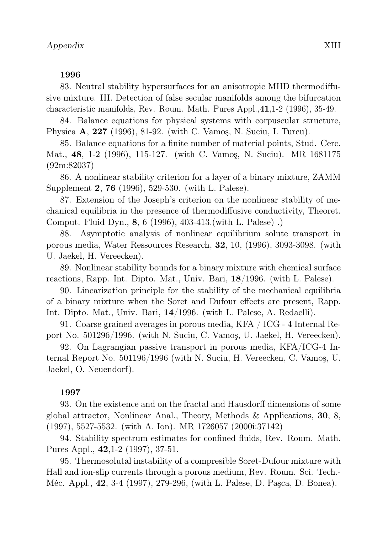83. Neutral stability hypersurfaces for an anisotropic MHD thermodiffusive mixture. III. Detection of false secular manifolds among the bifurcation characteristic manifolds, Rev. Roum. Math. Pures Appl.,41,1-2 (1996), 35-49.

84. Balance equations for physical systems with corpuscular structure, Physica A, 227 (1996), 81-92. (with C. Vamoş, N. Suciu, I. Turcu).

85. Balance equations for a finite number of material points, Stud. Cerc. Mat., 48, 1-2 (1996), 115-127. (with C. Vamoş, N. Suciu). MR 1681175 (92m:82037)

86. A nonlinear stability criterion for a layer of a binary mixture, ZAMM Supplement 2, 76 (1996), 529-530. (with L. Palese).

87. Extension of the Joseph's criterion on the nonlinear stability of mechanical equilibria in the presence of thermodiffusive conductivity, Theoret. Comput. Fluid Dyn., 8, 6 (1996), 403-413.(with L. Palese) .)

88. Asymptotic analysis of nonlinear equilibrium solute transport in porous media, Water Ressources Research, 32, 10, (1996), 3093-3098. (with U. Jaekel, H. Vereecken).

89. Nonlinear stability bounds for a binary mixture with chemical surface reactions, Rapp. Int. Dipto. Mat., Univ. Bari, 18/1996. (with L. Palese).

90. Linearization principle for the stability of the mechanical equilibria of a binary mixture when the Soret and Dufour effects are present, Rapp. Int. Dipto. Mat., Univ. Bari, 14/1996. (with L. Palese, A. Redaelli).

91. Coarse grained averages in porous media, KFA / ICG - 4 Internal Report No. 501296/1996. (with N. Suciu, C. Vamoş, U. Jaekel, H. Vereecken).

92. On Lagrangian passive transport in porous media, KFA/ICG-4 Internal Report No. 501196/1996 (with N. Suciu, H. Vereecken, C. Vamoş, U. Jaekel, O. Neuendorf).

# 1997

93. On the existence and on the fractal and Hausdorff dimensions of some global attractor, Nonlinear Anal., Theory, Methods & Applications, 30, 8, (1997), 5527-5532. (with A. Ion). MR 1726057 (2000i:37142)

94. Stability spectrum estimates for confined fluids, Rev. Roum. Math. Pures Appl., 42,1-2 (1997), 37-51.

95. Thermosolutal instability of a compresible Soret-Dufour mixture with Hall and ion-slip currents through a porous medium, Rev. Roum. Sci. Tech.- Méc. Appl., 42, 3-4 (1997), 279-296, (with L. Palese, D. Paşca, D. Bonea).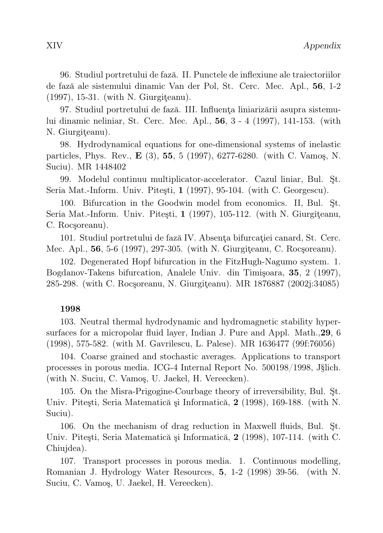96. Studiul portretului de fază. II. Punctele de inflexiune ale traiectoriilor de fază ale sistemului dinamic Van der Pol, St. Cerc. Mec. Apl., 56, 1-2 (1997), 15-31. (with N. Giurgiteanu).

97. Studiul portretului de fază. III. Influenţa liniarizării asupra sistemului dinamic neliniar, St. Cerc. Mec. Apl., 56, 3 - 4 (1997), 141-153. (with N. Giurgiteanu).

98. Hydrodynamical equations for one-dimensional systems of inelastic particles, Phys. Rev., E (3), 55, 5 (1997), 6277-6280. (with C. Vamoş, N. Suciu). MR 1448402

99. Modelul continuu multiplicator-accelerator. Cazul liniar, Bul. Şt. Seria Mat.-Inform. Univ. Piteşti, 1 (1997), 95-104. (with C. Georgescu).

100. Bifurcation in the Goodwin model from economics. II, Bul. Şt. Seria Mat.-Inform. Univ. Pitesti, 1 (1997), 105-112. (with N. Giurgiteanu, C. Rocşoreanu).

101. Studiul portretului de fază IV. Absenţa bifurcaţiei canard, St. Cerc. Mec. Apl., 56, 5-6 (1997), 297-305. (with N. Giurgiţeanu, C. Rocşoreanu).

102. Degenerated Hopf bifurcation in the FitzHugh-Nagumo system. 1. Bogdanov-Takens bifurcation, Analele Univ. din Timişoara, 35, 2 (1997), 285-298. (with C. Rocşoreanu, N. Giurgiţeanu). MR 1876887 (2002j:34085)

# 1998

103. Neutral thermal hydrodynamic and hydromagnetic stability hypersurfaces for a micropolar fluid layer, Indian J. Pure and Appl. Math.,29, 6 (1998), 575-582. (with M. Gavrilescu, L. Palese). MR 1636477 (99f:76056)

104. Coarse grained and stochastic averages. Applications to transport processes in porous media. ICG-4 Internal Report No. 500198/1998, J§lich. (with N. Suciu, C. Vamoş, U. Jaekel, H. Vereecken).

105. On the Misra-Prigogine-Courbage theory of irreversibility, Bul. Şt. Univ. Piteşti, Seria Matematică şi Informatică, 2 (1998), 169-188. (with N. Suciu).

106. On the mechanism of drag reduction in Maxwell fluids, Bul. Şt. Univ. Piteşti, Seria Matematică şi Informatică, 2 (1998), 107-114. (with C. Chiujdea).

107. Transport processes in porous media. 1. Continuous modelling, Romanian J. Hydrology Water Resources, 5, 1-2 (1998) 39-56. (with N. Suciu, C. Vamoş, U. Jaekel, H. Vereecken).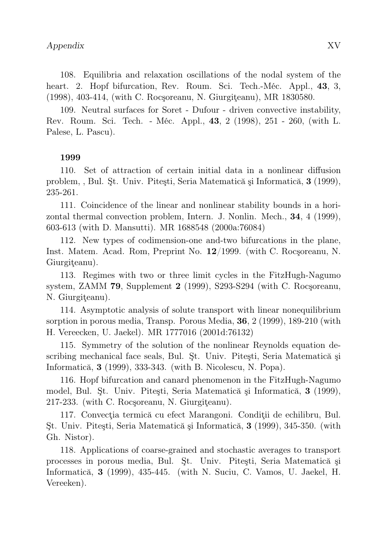108. Equilibria and relaxation oscillations of the nodal system of the heart. 2. Hopf bifurcation, Rev. Roum. Sci. Tech.-Méc. Appl., 43, 3, (1998), 403-414, (with C. Rocsoreanu, N. Giurgiteanu), MR 1830580.

109. Neutral surfaces for Soret - Dufour - driven convective instability, Rev. Roum. Sci. Tech. - Méc. Appl., 43, 2 (1998), 251 - 260, (with L. Palese, L. Pascu).

# 1999

110. Set of attraction of certain initial data in a nonlinear diffusion problem, , Bul. Şt. Univ. Piteşti, Seria Matematică şi Informatică, 3 (1999), 235-261.

111. Coincidence of the linear and nonlinear stability bounds in a horizontal thermal convection problem, Intern. J. Nonlin. Mech., 34, 4 (1999), 603-613 (with D. Mansutti). MR 1688548 (2000a:76084)

112. New types of codimension-one and-two bifurcations in the plane, Inst. Matem. Acad. Rom, Preprint No. 12/1999. (with C. Rocşoreanu, N. Giurgiţeanu).

113. Regimes with two or three limit cycles in the FitzHugh-Nagumo system, ZAMM 79, Supplement 2 (1999), S293-S294 (with C. Rocşoreanu, N. Giurgiţeanu).

114. Asymptotic analysis of solute transport with linear nonequilibrium sorption in porous media, Transp. Porous Media, 36, 2 (1999), 189-210 (with H. Vereecken, U. Jaekel). MR 1777016 (2001d:76132)

115. Symmetry of the solution of the nonlinear Reynolds equation describing mechanical face seals, Bul. Şt. Univ. Piteşti, Seria Matematică şi Informatică, 3 (1999), 333-343. (with B. Nicolescu, N. Popa).

116. Hopf bifurcation and canard phenomenon in the FitzHugh-Nagumo model, Bul. Şt. Univ. Piteşti, Seria Matematică şi Informatică, 3 (1999), 217-233. (with C. Rocşoreanu, N. Giurgiţeanu).

117. Convecţia termică cu efect Marangoni. Condiţii de echilibru, Bul. Şt. Univ. Piteşti, Seria Matematică şi Informatică, 3 (1999), 345-350. (with Gh. Nistor).

118. Applications of coarse-grained and stochastic averages to transport processes in porous media, Bul. Şt. Univ. Piteşti, Seria Matematică şi Informatică, 3 (1999), 435-445. (with N. Suciu, C. Vamos, U. Jaekel, H. Vereeken).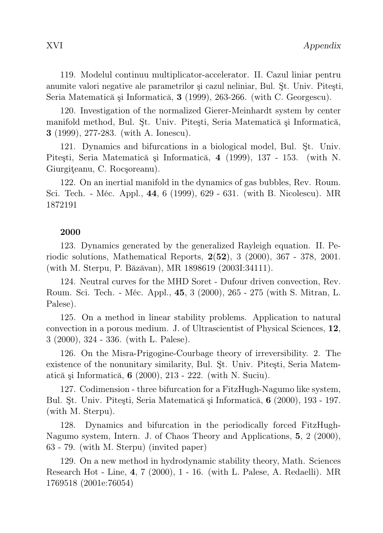119. Modelul continuu multiplicator-accelerator. II. Cazul liniar pentru anumite valori negative ale parametrilor şi cazul neliniar, Bul. Şt. Univ. Piteşti, Seria Matematică şi Informatică, 3 (1999), 263-266. (with C. Georgescu).

120. Investigation of the normalized Gierer-Meinhardt system by center manifold method, Bul. Şt. Univ. Piteşti, Seria Matematică şi Informatică, 3 (1999), 277-283. (with A. Ionescu).

121. Dynamics and bifurcations in a biological model, Bul. Şt. Univ. Piteşti, Seria Matematică şi Informatică, 4 (1999), 137 - 153. (with N. Giurgiteanu, C. Rocsoreanu).

122. On an inertial manifold in the dynamics of gas bubbles, Rev. Roum. Sci. Tech. - Méc. Appl., 44, 6 (1999), 629 - 631. (with B. Nicolescu). MR 1872191

# 2000

123. Dynamics generated by the generalized Rayleigh equation. II. Periodic solutions, Mathematical Reports, 2(52), 3 (2000), 367 - 378, 2001. (with M. Sterpu, P. Băzăvan), MR 1898619 (2003I:34111).

124. Neutral curves for the MHD Soret - Dufour driven convection, Rev. Roum. Sci. Tech. - Méc. Appl., 45, 3 (2000), 265 - 275 (with S. Mitran, L. Palese).

125. On a method in linear stability problems. Application to natural convection in a porous medium. J. of Ultrascientist of Physical Sciences, 12, 3 (2000), 324 - 336. (with L. Palese).

126. On the Misra-Prigogine-Courbage theory of irreversibility. 2. The existence of the nonunitary similarity, Bul. Şt. Univ. Piteşti, Seria Matematică şi Informatică, 6 (2000), 213 - 222. (with N. Suciu).

127. Codimension - three bifurcation for a FitzHugh-Nagumo like system, Bul. Şt. Univ. Piteşti, Seria Matematică şi Informatică, 6 (2000), 193 - 197. (with M. Sterpu).

128. Dynamics and bifurcation in the periodically forced FitzHugh-Nagumo system, Intern. J. of Chaos Theory and Applications, 5, 2 (2000), 63 - 79. (with M. Sterpu) (invited paper)

129. On a new method in hydrodynamic stability theory, Math. Sciences Research Hot - Line, 4, 7 (2000), 1 - 16. (with L. Palese, A. Redaelli). MR 1769518 (2001e:76054)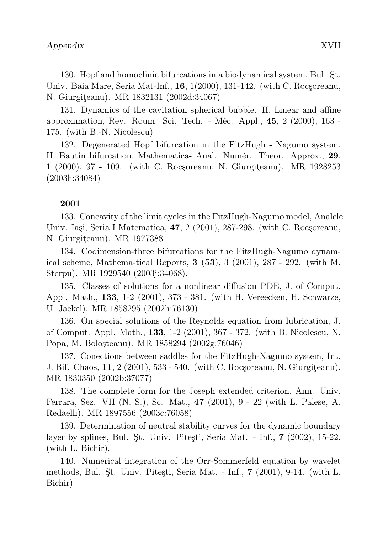130. Hopf and homoclinic bifurcations in a biodynamical system, Bul. Şt. Univ. Baia Mare, Seria Mat-Inf., 16, 1(2000), 131-142. (with C. Rocşoreanu, N. Giurgiteanu). MR 1832131 (2002d:34067)

131. Dynamics of the cavitation spherical bubble. II. Linear and affine approximation, Rev. Roum. Sci. Tech. - Méc. Appl., 45, 2 (2000), 163 - 175. (with B.-N. Nicolescu)

132. Degenerated Hopf bifurcation in the FitzHugh - Nagumo system. II. Bautin bifurcation, Mathematica- Anal. Numér. Theor. Approx., 29, 1 (2000), 97 - 109. (with C. Rocşoreanu, N. Giurgiţeanu). MR 1928253 (2003h:34084)

# 2001

133. Concavity of the limit cycles in the FitzHugh-Nagumo model, Analele Univ. Iaşi, Seria I Matematica, 47, 2 (2001), 287-298. (with C. Rocşoreanu, N. Giurgiteanu). MR 1977388

134. Codimension-three bifurcations for the FitzHugh-Nagumo dynamical scheme, Mathema-tical Reports,  $3(53)$ ,  $3(2001)$ ,  $287 - 292$ . (with M. Sterpu). MR 1929540 (2003j:34068).

135. Classes of solutions for a nonlinear diffusion PDE, J. of Comput. Appl. Math., 133, 1-2 (2001), 373 - 381. (with H. Vereecken, H. Schwarze, U. Jaekel). MR 1858295 (2002h:76130)

136. On special solutions of the Reynolds equation from lubrication, J. of Comput. Appl. Math., 133, 1-2 (2001), 367 - 372. (with B. Nicolescu, N. Popa, M. Boloşteanu). MR 1858294 (2002g:76046)

137. Conections between saddles for the FitzHugh-Nagumo system, Int. J. Bif. Chaos, 11, 2 (2001), 533 - 540. (with C. Rocşoreanu, N. Giurgiţeanu). MR 1830350 (2002b:37077)

138. The complete form for the Joseph extended criterion, Ann. Univ. Ferrara, Sez. VII (N. S.), Sc. Mat., 47 (2001), 9 - 22 (with L. Palese, A. Redaelli). MR 1897556 (2003c:76058)

139. Determination of neutral stability curves for the dynamic boundary layer by splines, Bul. Şt. Univ. Piteşti, Seria Mat. - Inf., 7 (2002), 15-22. (with L. Bichir).

140. Numerical integration of the Orr-Sommerfeld equation by wavelet methods, Bul. Şt. Univ. Piteşti, Seria Mat. - Inf., 7 (2001), 9-14. (with L. Bichir)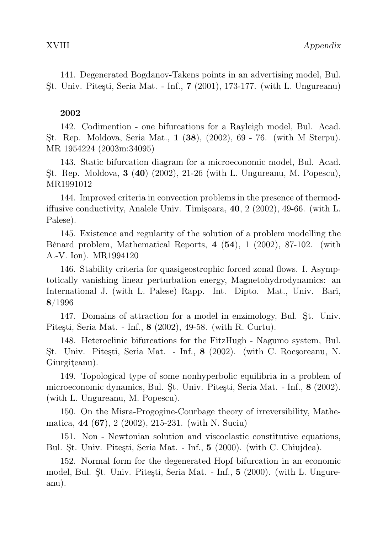141. Degenerated Bogdanov-Takens points in an advertising model, Bul. Şt. Univ. Piteşti, Seria Mat. - Inf., 7 (2001), 173-177. (with L. Ungureanu)

# 2002

142. Codimention - one bifurcations for a Rayleigh model, Bul. Acad. Şt. Rep. Moldova, Seria Mat., 1 (38), (2002), 69 - 76. (with M Sterpu). MR 1954224 (2003m:34095)

143. Static bifurcation diagram for a microeconomic model, Bul. Acad. Şt. Rep. Moldova, 3 (40) (2002), 21-26 (with L. Ungureanu, M. Popescu), MR1991012

144. Improved criteria in convection problems in the presence of thermodiffusive conductivity, Analele Univ. Timişoara, 40, 2 (2002), 49-66. (with L. Palese).

145. Existence and regularity of the solution of a problem modelling the Bénard problem, Mathematical Reports, 4 (54), 1 (2002), 87-102. (with A.-V. Ion). MR1994120

146. Stability criteria for quasigeostrophic forced zonal flows. I. Asymptotically vanishing linear perturbation energy, Magnetohydrodynamics: an International J. (with L. Palese) Rapp. Int. Dipto. Mat., Univ. Bari, 8/1996

147. Domains of attraction for a model in enzimology, Bul. Şt. Univ. Piteşti, Seria Mat. - Inf., 8 (2002), 49-58. (with R. Curtu).

148. Heteroclinic bifurcations for the FitzHugh - Nagumo system, Bul. Şt. Univ. Piteşti, Seria Mat. - Inf., 8 (2002). (with C. Rocşoreanu, N. Giurgiţeanu).

149. Topological type of some nonhyperbolic equilibria in a problem of microeconomic dynamics, Bul. Şt. Univ. Piteşti, Seria Mat. - Inf., 8 (2002). (with L. Ungureanu, M. Popescu).

150. On the Misra-Progogine-Courbage theory of irreversibility, Mathematica, 44 (67), 2 (2002), 215-231. (with N. Suciu)

151. Non - Newtonian solution and viscoelastic constitutive equations, Bul. Şt. Univ. Piteşti, Seria Mat. - Inf., 5 (2000). (with C. Chiujdea).

152. Normal form for the degenerated Hopf bifurcation in an economic model, Bul. Şt. Univ. Piteşti, Seria Mat. - Inf., 5 (2000). (with L. Ungureanu).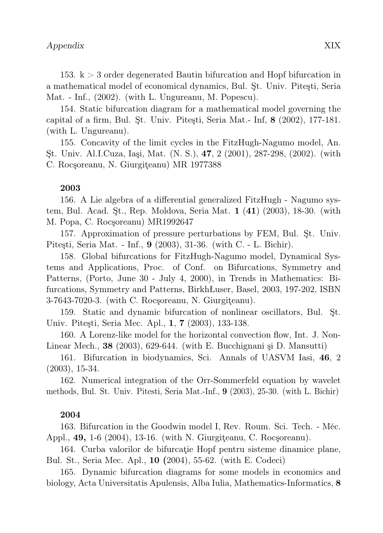153. k > 3 order degenerated Bautin bifurcation and Hopf bifurcation in a mathematical model of economical dynamics, Bul. Şt. Univ. Piteşti, Seria Mat. - Inf., (2002). (with L. Ungureanu, M. Popescu).

154. Static bifurcation diagram for a mathematical model governing the capital of a firm, Bul. Şt. Univ. Piteşti, Seria Mat.- Inf, 8 (2002), 177-181. (with L. Ungureanu).

155. Concavity of the limit cycles in the FitzHugh-Nagumo model, An. Şt. Univ. Al.I.Cuza, Iaşi, Mat. (N. S.), 47, 2 (2001), 287-298, (2002). (with C. Rocşoreanu, N. Giurgiţeanu) MR 1977388

# 2003

156. A Lie algebra of a differential generalized FitzHugh - Nagumo system, Bul. Acad. Şt., Rep. Moldova, Seria Mat. 1 (41) (2003), 18-30. (with M. Popa, C. Rocşoreanu) MR1992647

157. Approximation of pressure perturbations by FEM, Bul. Şt. Univ. Piteşti, Seria Mat. - Inf., 9 (2003), 31-36. (with C. - L. Bichir).

158. Global bifurcations for FitzHugh-Nagumo model, Dynamical Systems and Applications, Proc. of Conf. on Bifurcations, Symmetry and Patterns, (Porto, June 30 - July 4, 2000), in Trends in Mathematics: Bifurcations, Symmetry and Patterns, BirkhŁuser, Basel, 2003, 197-202, ISBN 3-7643-7020-3. (with C. Rocşoreanu, N. Giurgiţeanu).

159. Static and dynamic bifurcation of nonlinear oscillators, Bul. Şt. Univ. Piteşti, Seria Mec. Apl., 1, 7 (2003), 133-138.

160. A Lorenz-like model for the horizontal convection flow, Int. J. Non-Linear Mech., 38 (2003), 629-644. (with E. Bucchignani şi D. Mansutti)

161. Bifurcation in biodynamics, Sci. Annals of UASVM Iasi, 46, 2 (2003), 15-34.

162. Numerical integration of the Orr-Sommerfeld equation by wavelet methods, Bul. St. Univ. Pitesti, Seria Mat.-Inf., 9 (2003), 25-30. (with L. Bichir)

#### 2004

163. Bifurcation in the Goodwin model I, Rev. Roum. Sci. Tech. - Méc. Appl., **49,** 1-6 (2004), 13-16. (with N. Giurgiteanu, C. Rocsoreanu).

164. Curba valorilor de bifurcaţie Hopf pentru sisteme dinamice plane, Bul. St., Seria Mec. Apl., 10 (2004), 55-62. (with E. Codeci)

165. Dynamic bifurcation diagrams for some models in economics and biology, Acta Universitatis Apulensis, Alba Iulia, Mathematics-Informatics, 8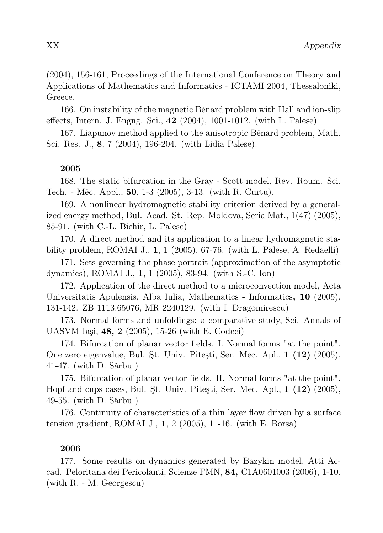(2004), 156-161, Proceedings of the International Conference on Theory and Applications of Mathematics and Informatics - ICTAMI 2004, Thessaloniki, Greece.

166. On instability of the magnetic Bénard problem with Hall and ion-slip effects, Intern. J. Engng. Sci., 42 (2004), 1001-1012. (with L. Palese)

167. Liapunov method applied to the anisotropic Bénard problem, Math. Sci. Res. J., 8, 7 (2004), 196-204. (with Lidia Palese).

# 2005

168. The static bifurcation in the Gray - Scott model, Rev. Roum. Sci. Tech. - Méc. Appl., 50, 1-3 (2005), 3-13. (with R. Curtu).

169. A nonlinear hydromagnetic stability criterion derived by a generalized energy method, Bul. Acad. St. Rep. Moldova, Seria Mat., 1(47) (2005), 85-91. (with C.-L. Bichir, L. Palese)

170. A direct method and its application to a linear hydromagnetic stability problem, ROMAI J., 1, 1 (2005), 67-76. (with L. Palese, A. Redaelli)

171. Sets governing the phase portrait (approximation of the asymptotic dynamics), ROMAI J., 1, 1 (2005), 83-94. (with S.-C. Ion)

172. Application of the direct method to a microconvection model, Acta Universitatis Apulensis, Alba Iulia, Mathematics - Informatics, 10 (2005), 131-142. ZB 1113.65076, MR 2240129. (with I. Dragomirescu)

173. Normal forms and unfoldings: a comparative study, Sci. Annals of UASVM Iaşi, 48, 2 (2005), 15-26 (with E. Codeci)

174. Bifurcation of planar vector fields. I. Normal forms "at the point". One zero eigenvalue, Bul. Şt. Univ. Piteşti, Ser. Mec. Apl., 1 (12) (2005), 41-47. (with D. Sârbu )

175. Bifurcation of planar vector fields. II. Normal forms "at the point". Hopf and cups cases, Bul. Şt. Univ. Piteşti, Ser. Mec. Apl., 1 (12) (2005), 49-55. (with D. Sârbu )

176. Continuity of characteristics of a thin layer flow driven by a surface tension gradient, ROMAI J., 1, 2 (2005), 11-16. (with E. Borsa)

#### 2006

177. Some results on dynamics generated by Bazykin model, Atti Accad. Peloritana dei Pericolanti, Scienze FMN, 84, C1A0601003 (2006), 1-10. (with R. - M. Georgescu)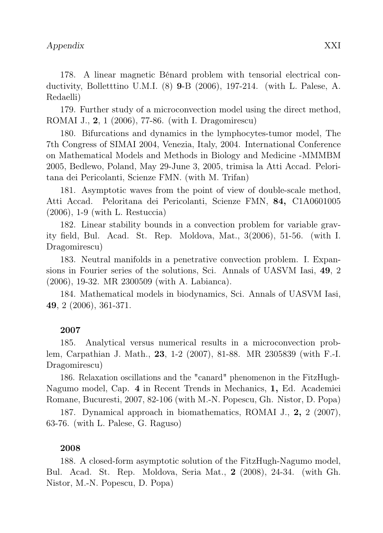178. A linear magnetic Bénard problem with tensorial electrical conductivity, Bolletttino U.M.I. (8) 9-B (2006), 197-214. (with L. Palese, A. Redaelli)

179. Further study of a microconvection model using the direct method, ROMAI J., 2, 1 (2006), 77-86. (with I. Dragomirescu)

180. Bifurcations and dynamics in the lymphocytes-tumor model, The 7th Congress of SIMAI 2004, Venezia, Italy, 2004. International Conference on Mathematical Models and Methods in Biology and Medicine -MMMBM 2005, Bedlewo, Poland, May 29-June 3, 2005, trimisa la Atti Accad. Peloritana dei Pericolanti, Scienze FMN. (with M. Trifan)

181. Asymptotic waves from the point of view of double-scale method, Atti Accad. Peloritana dei Pericolanti, Scienze FMN, 84, C1A0601005 (2006), 1-9 (with L. Restuccia)

182. Linear stability bounds in a convection problem for variable gravity field, Bul. Acad. St. Rep. Moldova, Mat., 3(2006), 51-56. (with I. Dragomirescu)

183. Neutral manifolds in a penetrative convection problem. I. Expansions in Fourier series of the solutions, Sci. Annals of UASVM Iasi, 49, 2 (2006), 19-32. MR 2300509 (with A. Labianca).

184. Mathematical models in biodynamics, Sci. Annals of UASVM Iasi, 49, 2 (2006), 361-371.

# 2007

185. Analytical versus numerical results in a microconvection problem, Carpathian J. Math., 23, 1-2 (2007), 81-88. MR 2305839 (with F.-I. Dragomirescu)

186. Relaxation oscillations and the "canard" phenomenon in the FitzHugh-Nagumo model, Cap. 4 in Recent Trends in Mechanics, 1, Ed. Academiei Romane, Bucuresti, 2007, 82-106 (with M.-N. Popescu, Gh. Nistor, D. Popa)

187. Dynamical approach in biomathematics, ROMAI J., 2, 2 (2007), 63-76. (with L. Palese, G. Raguso)

# 2008

188. A closed-form asymptotic solution of the FitzHugh-Nagumo model, Bul. Acad. St. Rep. Moldova, Seria Mat., 2 (2008), 24-34. (with Gh. Nistor, M.-N. Popescu, D. Popa)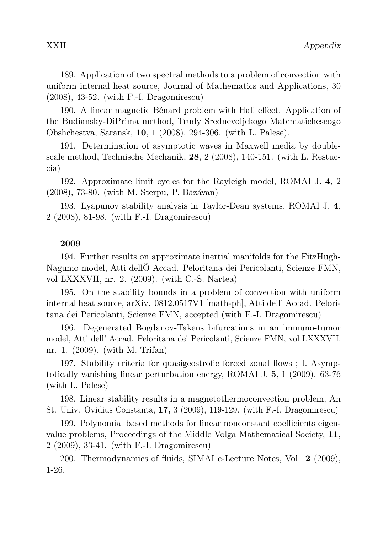190. A linear magnetic Bénard problem with Hall effect. Application of the Budiansky-DiPrima method, Trudy Srednevoljckogo Matematichescogo Obshchestva, Saransk, 10, 1 (2008), 294-306. (with L. Palese).

191. Determination of asymptotic waves in Maxwell media by doublescale method, Technische Mechanik, 28, 2 (2008), 140-151. (with L. Restuccia)

192. Approximate limit cycles for the Rayleigh model, ROMAI J. 4, 2 (2008), 73-80. (with M. Sterpu, P. Băzăvan)

193. Lyapunov stability analysis in Taylor-Dean systems, ROMAI J. 4, 2 (2008), 81-98. (with F.-I. Dragomirescu)

# 2009

194. Further results on approximate inertial manifolds for the FitzHugh-Nagumo model, Atti dellÕ Accad. Peloritana dei Pericolanti, Scienze FMN, vol LXXXVII, nr. 2. (2009). (with C.-S. Nartea)

195. On the stability bounds in a problem of convection with uniform internal heat source, arXiv. 0812.0517V1 [math-ph], Atti dell' Accad. Peloritana dei Pericolanti, Scienze FMN, accepted (with F.-I. Dragomirescu)

196. Degenerated Bogdanov-Takens bifurcations in an immuno-tumor model, Atti dell' Accad. Peloritana dei Pericolanti, Scienze FMN, vol LXXXVII, nr. 1. (2009). (with M. Trifan)

197. Stability criteria for quasigeostrofic forced zonal flows ; I. Asymptotically vanishing linear perturbation energy, ROMAI J. 5, 1 (2009). 63-76 (with L. Palese)

198. Linear stability results in a magnetothermoconvection problem, An St. Univ. Ovidius Constanta, 17, 3 (2009), 119-129. (with F.-I. Dragomirescu)

199. Polynomial based methods for linear nonconstant coefficients eigenvalue problems, Proceedings of the Middle Volga Mathematical Society, 11, 2 (2009), 33-41. (with F.-I. Dragomirescu)

200. Thermodynamics of fluids, SIMAI e-Lecture Notes, Vol. 2 (2009), 1-26.